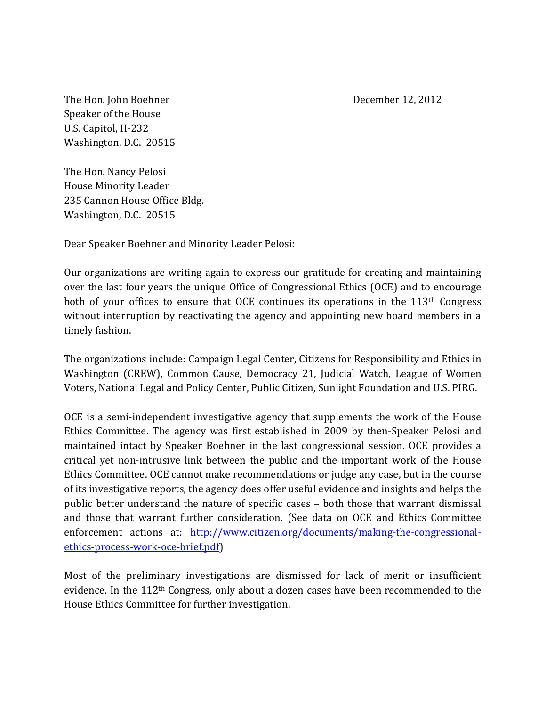The Hon. John Boehner **December 12, 2012** Speaker of the House U.S. Capitol, H-232 Washington, D.C. 20515

The Hon. Nancy Pelosi House Minority Leader 235 Cannon House Office Bldg. Washington, D.C. 20515

Dear Speaker Boehner and Minority Leader Pelosi:

Our organizations are writing again to express our gratitude for creating and maintaining over the last four years the unique Office of Congressional Ethics (OCE) and to encourage both of your offices to ensure that OCE continues its operations in the 113<sup>th</sup> Congress without interruption by reactivating the agency and appointing new board members in a timely fashion.

The organizations include: Campaign Legal Center, Citizens for Responsibility and Ethics in Washington (CREW), Common Cause, Democracy 21, Judicial Watch, League of Women Voters, National Legal and Policy Center, Public Citizen, Sunlight Foundation and U.S. PIRG.

OCE is a semi-independent investigative agency that supplements the work of the House Ethics Committee. The agency was first established in 2009 by then-Speaker Pelosi and maintained intact by Speaker Boehner in the last congressional session. OCE provides a critical yet non-intrusive link between the public and the important work of the House Ethics Committee. OCE cannot make recommendations or judge any case, but in the course of its investigative reports, the agency does offer useful evidence and insights and helps the public better understand the nature of specific cases – both those that warrant dismissal and those that warrant further consideration. (See data on OCE and Ethics Committee enforcement actions at: [http://www.citizen.org/documents/making-the-congressional](http://www.citizen.org/documents/making-the-congressional-ethics-process-work-oce-brief.pdf)[ethics-process-work-oce-brief.pdf\)](http://www.citizen.org/documents/making-the-congressional-ethics-process-work-oce-brief.pdf)

Most of the preliminary investigations are dismissed for lack of merit or insufficient evidence. In the 112th Congress, only about a dozen cases have been recommended to the House Ethics Committee for further investigation.